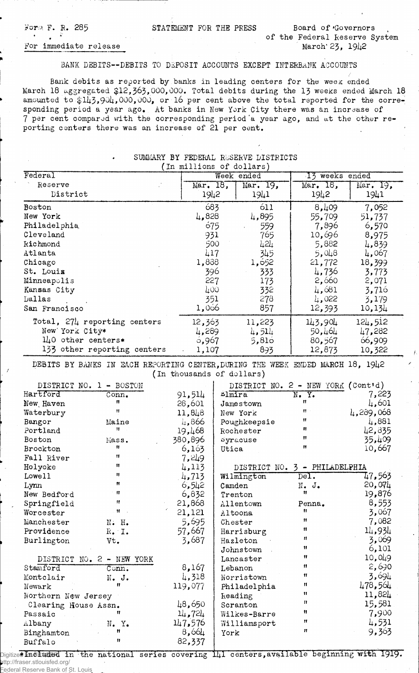For;;\* F. R. 285 <sup>t</sup>*A 9*

STATEMENT FOR THE PRESS Board of Governors

## For immediate release

## BANK DEBITS--DEBITS TO DEPOSIT ACCOUNTS EXCEPT INTERBANK ACCOUNTS

Bank debits as reported by banks in leading centers for the week ended March 18 aggregated \$12,363,000,000. Total debits during the 13 weeks ended March 18 amounted to  $$143,904,000,000,$  or 16 per cent above the total reported for the corresponding period a year ago. At banks in New York City there was an increase of 7 per cent compared with the corresponding period a year ago, and at the other reporting centers there was an increase of 21 per cent.

| The Landern Hoppital DIDITIOID<br>(In millions of dollars)                                                  |                             |         |                |                  |                                    |           |  |  |
|-------------------------------------------------------------------------------------------------------------|-----------------------------|---------|----------------|------------------|------------------------------------|-----------|--|--|
| Federal                                                                                                     |                             |         |                | Week ended       | 13 weeks ended                     |           |  |  |
| Reserve                                                                                                     |                             |         | Mar. 18,       | Mar. 19,         | Mar. 18,                           | Mar. 19,  |  |  |
| District                                                                                                    |                             |         | 1942           | 1941             | 1942                               | 1941      |  |  |
| Boston                                                                                                      |                             |         | 683            | 611              | 8,409                              | 7,052     |  |  |
| New York                                                                                                    |                             |         | 4,828          | 4,895            | 55,709                             | 51,737    |  |  |
| Philadelphia                                                                                                |                             |         | 675            | 559              | 7,896                              | 6,570     |  |  |
| Cleveland                                                                                                   |                             |         | 931            | 765              | 10,696                             | 8,975     |  |  |
| <b>Kichmond</b>                                                                                             |                             |         | 500            | 424              | 5,882                              | 4,839     |  |  |
| Atlanta                                                                                                     |                             |         | 417            | 345              | 5,048                              | 4,067     |  |  |
| Chicago                                                                                                     |                             |         | 1,838          | 1,652            | 21,772                             | 18,399    |  |  |
| St. Louis                                                                                                   |                             |         | 396            | 333              | 4,736                              | 3,773     |  |  |
| Minneapolis                                                                                                 |                             |         | 227            | 173              | 2,660                              | 2,071     |  |  |
| Kansas City                                                                                                 |                             | 400     |                | 332              | 4,681                              | 3,716     |  |  |
| Dallas                                                                                                      |                             |         | 351            | 278              | 4,022                              | 3,179     |  |  |
| San Francisco                                                                                               |                             |         | 1,066          | 857              | 12,393                             | 10,134    |  |  |
| Total, 274 reporting centers                                                                                |                             | 12,363  |                | 11,223           | 143,904                            | 124,512   |  |  |
| New York City*                                                                                              |                             |         | 4,289          | 4,514            | 50,464                             | 47,282    |  |  |
| $1\mu$ 0 other centers*                                                                                     |                             |         | 6,967          | 5,810            | 80,567                             | 66,909    |  |  |
|                                                                                                             | 133 other reporting centers |         | 1,107          | 893              | 12,873                             | 10,322    |  |  |
| DEBITS BY BANKS IN EACH REPORTING CENTER, DURING THE WEEK ENDED MARCH 18, 1942<br>(In thousands of dollars) |                             |         |                |                  |                                    |           |  |  |
| DISTRICT NO. 1 - BOSTON                                                                                     |                             |         |                |                  | DISTRICT NO. 2 - NEW YORK (Cont'd) |           |  |  |
| Hartford                                                                                                    | Conn <sub>•</sub>           | 91,514  | $L_1$ $m_1$ ra |                  | $\overline{\text{N. Y.}}$          | 7,223     |  |  |
| New Haven                                                                                                   | 11                          | 28,601  |                | <b>Jamestown</b> | 11                                 | 4,601     |  |  |
| Waterbury                                                                                                   | Ħ                           | 11,848  |                | New York         | $\mathbf{H}$                       | 4,289,068 |  |  |
| Bangor                                                                                                      | Maine                       | 4,866   |                | Poughkeepsie     | 11                                 | 4,881     |  |  |
| Portland                                                                                                    | 11                          | 19,468  |                | Rochester        | 11                                 | 42,835    |  |  |
| Boston                                                                                                      | Mass.                       | 380,896 |                | syracuse         | Ħ                                  | 35,409    |  |  |
| Brockton                                                                                                    | 11                          | 6,163   | Utica          |                  | Ħ                                  | 10,667    |  |  |
| Fall River                                                                                                  | 11.                         | 7,249   |                |                  |                                    |           |  |  |
| Holyoke                                                                                                     | Ħ                           | 4,113   |                |                  | DISTRICT NO. 3 - PHILADELPHIA      |           |  |  |
| Lowell                                                                                                      | 11                          | 4,713   |                | Wilmington       | $\overline{\text{Del}}$ .          | 47,563    |  |  |
| Lynn                                                                                                        | Ħ                           | 6,542   | Camden         |                  | N.<br>$J_{\bullet}$                | 20,074    |  |  |
| New Bedford                                                                                                 | $^{\prime\prime}$           | 6,832   |                | Trenton          | 11                                 | 19,876    |  |  |
| Springfield                                                                                                 | Ħ                           | 21,868  |                | Allentown        | Penna.                             | 8,553     |  |  |
| Worcester                                                                                                   | $\mathbf{H}$ .              | 21,121  |                | Altoona          | Ħ                                  | 3,067     |  |  |
| Manchester                                                                                                  | N. H.                       | 5,695   |                | Chester          | 11                                 | 7,082     |  |  |
| Providence                                                                                                  | $R_{\bullet}$ $I_{\bullet}$ | 57,667  |                | Harrisburg       | 11                                 | 14,934    |  |  |
| Burlington                                                                                                  | Vt.                         | 3,687   |                | Hazleton         | Ħ                                  | 3,069     |  |  |
|                                                                                                             |                             |         |                | Johnstown        | 11                                 | 6,101     |  |  |
| DISTRICT NO. 2 - NEW YORK                                                                                   |                             |         |                | Lancaster        | 11                                 | 10,049    |  |  |
| Stamford                                                                                                    | $\overline{\texttt{Conn.}}$ | 8,167   |                | Lebanon          | Ħ                                  | 2,690     |  |  |
| Montclair                                                                                                   | $N_{\bullet}$ J.            | 4,318   |                | Norristown       | 11                                 | 3,694     |  |  |
| Newark                                                                                                      | 11                          | 119,077 |                | Philadelphia     | Ħ                                  | 478,564   |  |  |
| Northern New Jersey                                                                                         |                             |         |                | Reading          | Ħ                                  | 11,824    |  |  |
| Clearing House Assn.                                                                                        |                             | 48,650  |                | Scranton         | $\pmb{\mathcal{U}}$                | 15,581    |  |  |
| Passaic                                                                                                     | 11                          | 14,724  |                | Wilkes-Barre     | Ħ                                  | 7,900     |  |  |
| Albany                                                                                                      | N.Y.                        | 147,576 |                | Williamsport     | 11                                 | 4,531     |  |  |
| Binghamton                                                                                                  | Ħ                           | 8,664   | York           |                  | Ħ                                  | 9,363     |  |  |
| Buffalo                                                                                                     | 11                          | 82,337  |                |                  |                                    |           |  |  |

## SUMMARY BY FEDERAL RESERVE DISTRICTS

Digitized Insekuded in the national series covering  $1\mu 1$  centers,available beginning with 1919. http://fraser.stlouisfed.org/ Federal Reserve Bank of St. Louis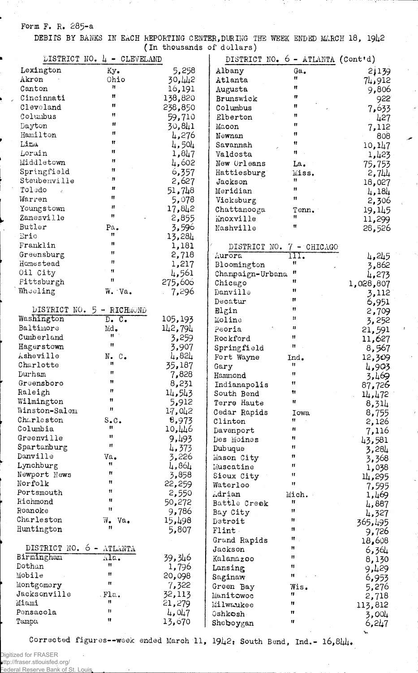Form F. R. 285-a

DEBITS BY BANKS IN EACH REPORTING CENTER, DURING THE WEEK ENDED MARCH 18, 1942 (In thousands of dollars)

|                             | LISTRICT NO. $L_1$ - CLEVELAND | (The onematics of actrate) |                  | DISTRICT NO. 6 - ATLANTA (Cont'd) |                 |
|-----------------------------|--------------------------------|----------------------------|------------------|-----------------------------------|-----------------|
| Lexington                   | Ky.                            | 5,258                      | Albany           | Ga.                               | 2,139           |
| Akron                       | Ohio                           | 30,442                     | Atlanta          | 11                                |                 |
| Canton                      | Ħ.,                            | 16,191                     | Augusta          | Ħ                                 | 74,912<br>9,806 |
| Cincinnati                  | $\mathbf{H}$                   | 138,820                    | Brunswick        | $\mathbf{H}$                      |                 |
| Cleveland                   | $\mathbf{H}$                   | 238,850                    | Columbus         | Ħ                                 | 922             |
| Columbus                    | Ħ                              | 59,710                     | Elberton         | Ħ                                 | 7,633           |
| Dayton                      | $\mathbf{H}$                   |                            | Macon            | 11                                | 427             |
| Hamilton                    | $\mathbf{H}$                   | 30,841                     |                  | $\mathbf{u}$                      | 7,112           |
| Lina                        | $\mathbf{H}$                   | 4,276                      | Newnan           | 11                                | 808             |
| Lorain                      | 11                             | 4,504                      | Savannah         | 11                                | 10,147          |
| Middletown                  | $\mathbf{H}$                   | 1,847                      | Valdosta         |                                   | 1,423           |
|                             | $\mathbf{H}$                   | 4,602                      | New Orleans      | La.                               | 75,753          |
| Springfield<br>Steubenville | $\mathbf{H}$                   | 6,357                      | Hattiesburg      | Miss.<br>11                       | 2,744           |
| Toledo                      | $\mathbf{H}$                   | 2,627                      | Jackson          | 11                                | 18,027          |
| $\mathcal{L}$               | 11                             | 51,748                     | Meridian         | 11                                | 4,184           |
| Warren                      | $\mathbf{H}$                   | 5,078                      | Vicksburg        |                                   | 2,306           |
| Youngstown                  | 11                             | 17,842                     | Chattanooga      | Tenn.                             | 19,145          |
| Zanesville                  |                                | 2,855                      | Mnoxville        | 11                                | 11,299          |
| Butler                      | Pa.<br>11                      | 3,596                      | Nashville        | 11                                | 28,526          |
| Erie                        | 11                             | 13,284                     |                  |                                   |                 |
| Franklin                    | 11                             | 1,181                      | DISTRICT NO.     | $7 -$ CHICAGO                     |                 |
| Greensburg                  |                                | 2,718                      | Aurora           | 111.                              | 4,245           |
| Homestead                   | Ħ                              | 1,217                      | Bloomington      | Ħ                                 | 3,862           |
| Oil City                    | $\mathbf{H}$                   | 4,561                      | Champaign-Urbana | Ħ                                 | 4,273           |
| Pittsburgh                  | n                              | 275,606                    | Chicago          | 11                                | 1,028,807       |
| Wheeling                    | W. Va.                         | 7,296                      | Danville         | Ħ                                 | 3,112           |
|                             |                                |                            | Decatur          | n                                 | 6,951           |
| DISTRICT NO.                | 5 - RICHMOND                   |                            | Blgin            | Ħ                                 | 2,709           |
| Washington                  | $D_{\bullet}$ $C_{\bullet}$    | 105,193                    | Moline           | 11                                | 3,252           |
| Baltimore                   | Md.                            | 142,794                    | Peoria           | 11                                | 21,591          |
| Cumberland                  | Ħ                              | 3,259                      | Rockford         | 11                                | 11,627          |
| Hagerstown                  | Ħ                              | 3,907                      | Springfield      | Ħ.                                | 8,567           |
| Asheville                   | N.<br>$\mathbb{C}$ .           | 4,824                      | Fort Wayne       | Ind.                              | 12,309          |
| Charlotte                   | 11                             | 35,187                     | Gary             | Ħ                                 | 4,903           |
| Durham                      | Ħ                              | 7,828                      | Hammond          | $^{\bullet}$                      | 3,469           |
| Greensboro                  | Ħ                              | 8,231                      | Indianapolis     | 11                                | 87,726          |
| Raleigh                     | Ħ                              | 14,543                     | South Bend       | 11                                | 14,472          |
| Wilmington                  | n                              | 5,912                      | Terre Haute      | Ħ                                 | 8,314           |
| Winston-Salem               | n                              | 17,042                     | Cedar Rapids     | Iowa                              | 8,755           |
| Charleston                  | $S \cdot C$ .                  | 8,973                      | Clinton          | 11.                               | 2,126           |
| Columbia                    | 11                             | 10,446                     | Davenport        | n                                 | 7,116           |
| Greenville                  | 11                             | 9,493                      | Des Moines       | 11                                | 43,581          |
| Spartanburg                 | Ħ                              | 4,373                      | Dubuque          | 11                                | 3,284           |
| Danville                    | Va.                            | 3,226                      | Mason City       | 11                                | 3,368           |
| Lynchburg                   | 11                             | 4,864                      | Muscatine        | 11                                | 1,038           |
| Newport News                | Ħ                              | 3,858                      | Sioux City       | 11                                | 14,295          |
| Norfolk                     | n                              | 22,259                     | Waterloo         | 11                                | 7,595           |
| Portsmouth                  | 11                             | 2,550                      | Adrian           | Mich.                             | 1,469           |
| Richmond                    | 11<br>$\mathbf{H}$             | 50,272                     | Battle Creek     | n                                 | 4,887           |
| Roanoke                     |                                | 9,786                      | Bay City         | 11                                | 4,327           |
| Charleston                  | Va.<br>₩.<br>$^{\bullet}$      | 15,498                     | Detroit          | Ħ                                 | 365,495         |
| Huntington                  |                                | 5,807                      | Flint            | 11                                | 9,726           |
|                             |                                |                            | Grand Rapids     | π.                                | 18,608          |
| DISTRICT NO. 6 - ATLANTA    |                                |                            | ${\tt Jackson}$  | Ħ                                 | 6,364           |
| Birmingham                  | Ala.                           | 39,346                     | Kalamazoo        | Ħ                                 | 8,130           |
| Dothan                      | 11                             | 1,796                      | Lansing          | 11                                | 9,429           |
| Mobile                      | 11                             | 20,098                     | Saginaw          | 11                                | 6,953           |
| Montgomery                  | 11                             | 7,322                      | Green Bay        | Wis.                              | 5,276           |
| Jacksonville                | Fla.                           | 32,113                     | Manitowoc        | 11                                | 2,718           |
| Miami                       | 11                             | 21,279                     | Milwaukee        | Ħ                                 | 113,812         |
| Pensacola                   | Ħ                              | 4,047                      | 0shkosh          | Ħ                                 | 3,004           |
| Tampu                       | Ħ                              | 13,670                     | Sheboygan        | 11                                | 6,247           |
|                             |                                |                            |                  |                                   | ٦.,             |

Corrected figures--week ended March 11,  $19\frac{1}{2}$ : South Bend, Ind.-  $16,8\frac{1}{4}$ .